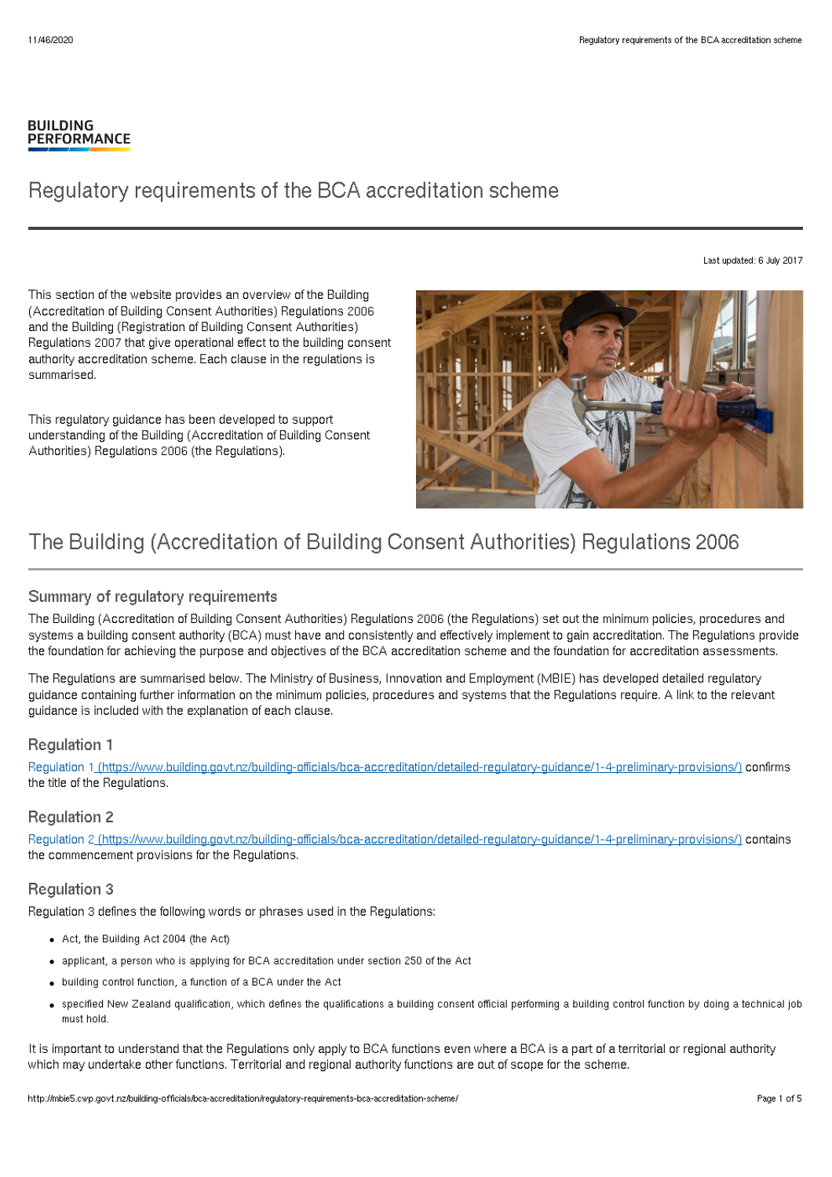#### **BUILDING PERFORMANCE**

# Regulatory requirements of the BCA accreditation scheme

Last updated: 6 July 2017

This section of the website provides an overview of the Building (Accreditation of Building Consent Authorities) Regulations 2006 and the Building (Registration of Building Consent Authorities) Regulations 2007 that give operational effect to the building consent authority accreditation scheme. Each clause in the regulations is summarised.

This regulatory guidance has been developed to support understanding of the Building (Accreditation of Building Consent Authorities) Regulations 2006 (the Regulations).



# The Building (Accreditation of Building Consent Authorities) Regulations 2006

# Summary of regulatory requirements

The Building (Accreditation of Building Consent Authorities) Regulations 2006 (the Regulations) set out the minimum policies, procedures and systems a building consent authority (BCA) must have and consistently and effectively implement to gain accreditation. The Regulations provide the foundation for achieving the purpose and objectives of the BCA accreditation scheme and the foundation for accreditation assessments.

The Regulations are summarised below. The Ministry of Business, Innovation and Employment (MBIE) has developed detailed regulatory guidance containing further information on the minimum policies, procedures and systems that the Regulations require. A link to the relevant guidance is included with the explanation of each clause.

# Regulation 1

Regulation 1\_[\(https://www.building.govt.nz/building-officials/bca-accreditation/detailed-regulatory-guidance/1-4-preliminary-provisions/\)](http://mbie5.cwp.govt.nz/building-officials/bca-accreditation/detailed-regulatory-guidance/1-4-preliminary-provisions/) confirms the title of the Regulations.

# Regulation 2

Regulation 2 [\(https://www.building.govt.nz/building-officials/bca-accreditation/detailed-regulatory-guidance/1-4-preliminary-provisions/\)](http://mbie5.cwp.govt.nz/building-officials/bca-accreditation/detailed-regulatory-guidance/1-4-preliminary-provisions/) contains the commencement provisions for the Regulations.

# Regulation 3

Regulation 3 defines the following words or phrases used in the Regulations:

- Act, the Building Act 2004 (the Act)
- applicant, a person who is applying for BCA accreditation under section 250 of the Act
- building control function, a function of a BCA under the Act
- specified New Zealand qualification, which defines the qualifications a building consent official performing a building control function by doing a technical job must hold.

It is important to understand that the Regulations only apply to BCA functions even where a BCA is a part of a territorial or regional authority which may undertake other functions. Territorial and regional authority functions are out of scope for the scheme.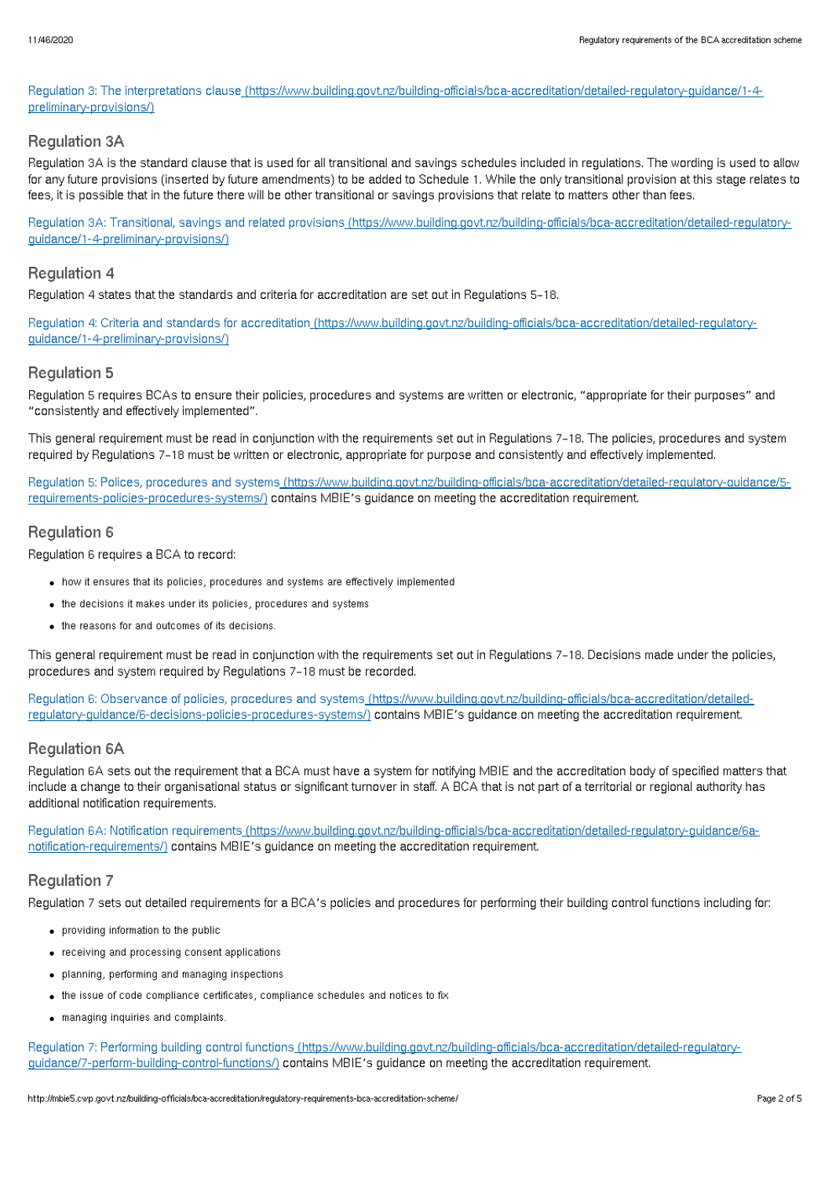Regulation 3: The interpretations clause [\(https://www.building.govt.nz/building-officials/bca-accreditation/detailed-regulatory-guidance/1-4](http://mbie5.cwp.govt.nz/building-officials/bca-accreditation/detailed-regulatory-guidance/1-4-preliminary-provisions/) preliminary-provisions/)

## Regulation 3A

Regulation 3A is the standard clause that is used for all transitional and savings schedules included in regulations. The wording is used to allow for any future provisions (inserted by future amendments) to be added to Schedule 1. While the only transitional provision at this stage relates to fees, it is possible that in the future there will be other transitional or savings provisions that relate to matters other than fees.

Regulation 3A: Transitional, savings and related provisions [\(https://www.building.govt.nz/building-officials/bca-accreditation/detailed-regulatory](http://mbie5.cwp.govt.nz/building-officials/bca-accreditation/detailed-regulatory-guidance/1-4-preliminary-provisions/)guidance/1-4-preliminary-provisions/)

# Regulation 4

Regulation 4 states that the standards and criteria for accreditation are set out in Regulations 5–18.

Regulation 4: Criteria and standards for accreditation [\(https://www.building.govt.nz/building-officials/bca-accreditation/detailed-regulatory](http://mbie5.cwp.govt.nz/building-officials/bca-accreditation/detailed-regulatory-guidance/1-4-preliminary-provisions/)guidance/1-4-preliminary-provisions/)

## Regulation 5

Regulation 5 requires BCAs to ensure their policies, procedures and systems are written or electronic, "appropriate for their purposes" and "consistently and effectively implemented".

This general requirement must be read in conjunction with the requirements set out in Regulations 7–18. The policies, procedures and system required by Regulations 7–18 must be written or electronic, appropriate for purpose and consistently and effectively implemented.

Regulation 5: Polices, procedures and systems [\(https://www.building.govt.nz/building-officials/bca-accreditation/detailed-regulatory-guidance/5](http://mbie5.cwp.govt.nz/building-officials/bca-accreditation/detailed-regulatory-guidance/5-requirements-policies-procedures-systems/) requirements-policies-procedures-systems/) contains MBIE's guidance on meeting the accreditation requirement.

## Regulation 6

Regulation 6 requires a BCA to record:

- how it ensures that its policies, procedures and systems are effectively implemented
- the decisions it makes under its policies, procedures and systems
- the reasons for and outcomes of its decisions.

This general requirement must be read in conjunction with the requirements set out in Regulations 7–18. Decisions made under the policies, procedures and system required by Regulations 7–18 must be recorded.

Regulation 6: Observance of policies, procedures and systems [\(https://www.building.govt.nz/building-officials/bca-accreditation/detailed](http://mbie5.cwp.govt.nz/building-officials/bca-accreditation/detailed-regulatory-guidance/6-decisions-policies-procedures-systems/)regulatory-guidance/6-decisions-policies-procedures-systems/) contains MBIE's guidance on meeting the accreditation requirement.

## Regulation 6A

Regulation 6A sets out the requirement that a BCA must have a system for notifying MBIE and the accreditation body of specified matters that include a change to their organisational status or significant turnover in staff. A BCA that is not part of a territorial or regional authority has additional notification requirements.

Regulation 6A: Notification requirements [\(https://www.building.govt.nz/building-officials/bca-accreditation/detailed-regulatory-guidance/6a](http://mbie5.cwp.govt.nz/building-officials/bca-accreditation/detailed-regulatory-guidance/6a-notification-requirements/)notification-requirements/) contains MBIE's guidance on meeting the accreditation requirement.

# Regulation 7

Regulation 7 sets out detailed requirements for a BCA's policies and procedures for performing their building control functions including for:

- providing information to the public
- receiving and processing consent applications
- planning, performing and managing inspections
- the issue of code compliance certificates, compliance schedules and notices to fix
- managing inquiries and complaints.

Regulation 7: Performing building control functions [\(https://www.building.govt.nz/building-officials/bca-accreditation/detailed-regulatory](http://mbie5.cwp.govt.nz/building-officials/bca-accreditation/detailed-regulatory-guidance/7-perform-building-control-functions/)guidance/7-perform-building-control-functions/) contains MBIE's guidance on meeting the accreditation requirement.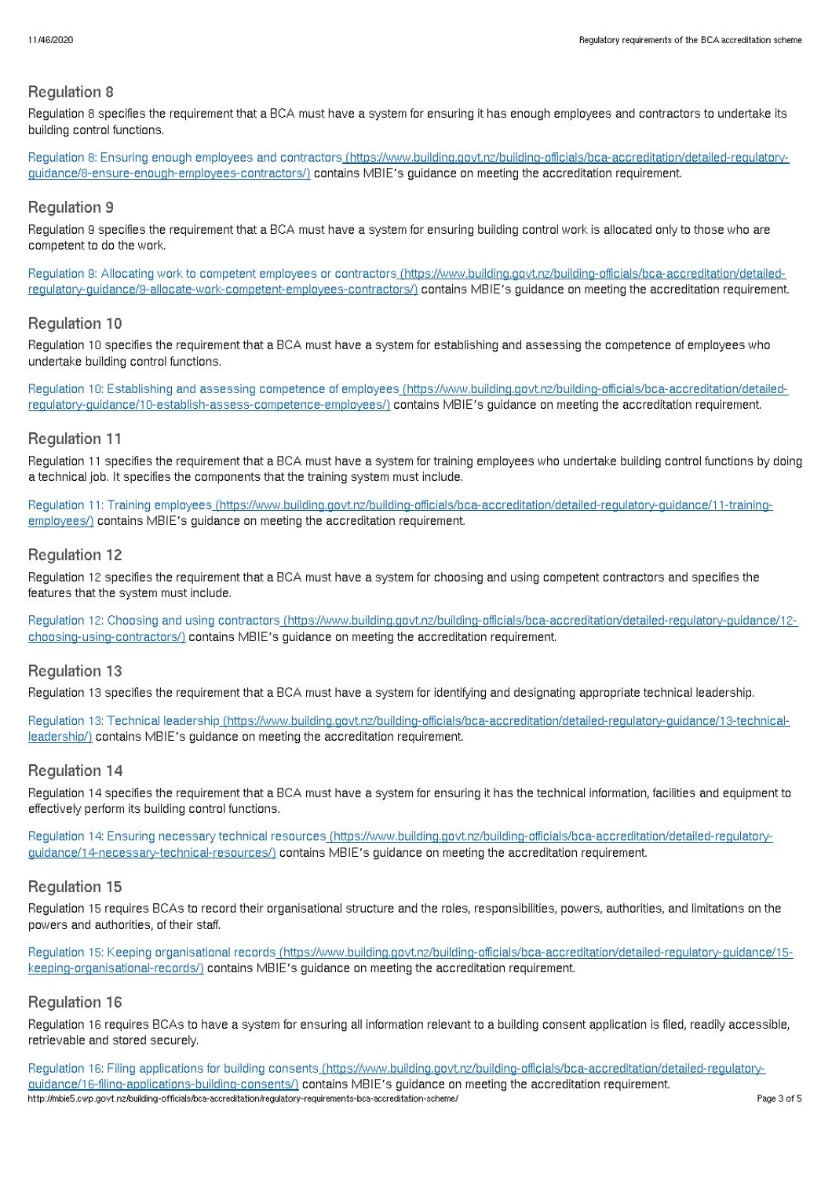#### Regulation 8

Regulation 8 specifies the requirement that a BCA must have a system for ensuring it has enough employees and contractors to undertake its building control functions.

Regulation 8: Ensuring enough employees and contractors [\(https://www.building.govt.nz/building-officials/bca-accreditation/detailed-regulatory](http://mbie5.cwp.govt.nz/building-officials/bca-accreditation/detailed-regulatory-guidance/8-ensure-enough-employees-contractors/)guidance/8-ensure-enough-employees-contractors/) contains MBIE's guidance on meeting the accreditation requirement.

## Regulation 9

Regulation 9 specifies the requirement that a BCA must have a system for ensuring building control work is allocated only to those who are competent to do the work.

Regulation 9: Allocating work to competent employees or contractors (https://www.building.govt.nz/building-officials/bca-accreditation/detailed[regulatory-guidance/9-allocate-work-competent-employees-contractors/\)](http://mbie5.cwp.govt.nz/building-officials/bca-accreditation/detailed-regulatory-guidance/9-allocate-work-competent-employees-contractors/) contains MBIE's guidance on meeting the accreditation requirement.

## Regulation 10

Regulation 10 specifies the requirement that a BCA must have a system for establishing and assessing the competence of employees who undertake building control functions.

Regulation 10: Establishing and assessing competence of employees [\(https://www.building.govt.nz/building-officials/bca-accreditation/detailed](http://mbie5.cwp.govt.nz/building-officials/bca-accreditation/detailed-regulatory-guidance/10-establish-assess-competence-employees/)regulatory-guidance/10-establish-assess-competence-employees/) contains MBIE's guidance on meeting the accreditation requirement.

#### Regulation 11

Regulation 11 specifies the requirement that a BCA must have a system for training employees who undertake building control functions by doing a technical job. It specifies the components that the training system must include.

Regulation 11: Training employees [\(https://www.building.govt.nz/building-officials/bca-accreditation/detailed-regulatory-guidance/11-training](http://mbie5.cwp.govt.nz/building-officials/bca-accreditation/detailed-regulatory-guidance/11-training-employees/)employees/) contains MBIE's guidance on meeting the accreditation requirement.

## Regulation 12

Regulation 12 specifies the requirement that a BCA must have a system for choosing and using competent contractors and specifies the features that the system must include.

Regulation 12: Choosing and using contractors [\(https://www.building.govt.nz/building-officials/bca-accreditation/detailed-regulatory-guidance/12](http://mbie5.cwp.govt.nz/building-officials/bca-accreditation/detailed-regulatory-guidance/12-choosing-using-contractors/) choosing-using-contractors/) contains MBIE's guidance on meeting the accreditation requirement.

## Regulation 13

Regulation 13 specifies the requirement that a BCA must have a system for identifying and designating appropriate technical leadership.

Regulation 13: Technical leadership [\(https://www.building.govt.nz/building-officials/bca-accreditation/detailed-regulatory-guidance/13-technical](http://mbie5.cwp.govt.nz/building-officials/bca-accreditation/detailed-regulatory-guidance/13-technical-leadership/)leadership/) contains MBIE's guidance on meeting the accreditation requirement.

## Regulation 14

Regulation 14 specifies the requirement that a BCA must have a system for ensuring it has the technical information, facilities and equipment to effectively perform its building control functions.

Regulation 14: Ensuring necessary technical resources [\(https://www.building.govt.nz/building-officials/bca-accreditation/detailed-regulatory](http://mbie5.cwp.govt.nz/building-officials/bca-accreditation/detailed-regulatory-guidance/14-necessary-technical-resources/)guidance/14-necessary-technical-resources/) contains MBIE's guidance on meeting the accreditation requirement.

## Regulation 15

Regulation 15 requires BCAs to record their organisational structure and the roles, responsibilities, powers, authorities, and limitations on the powers and authorities, of their staff.

Regulation 15: Keeping organisational records [\(https://www.building.govt.nz/building-officials/bca-accreditation/detailed-regulatory-guidance/15](http://mbie5.cwp.govt.nz/building-officials/bca-accreditation/detailed-regulatory-guidance/15-keeping-organisational-records/) keeping-organisational-records/) contains MBIE's guidance on meeting the accreditation requirement.

## Regulation 16

Regulation 16 requires BCAs to have a system for ensuring all information relevant to a building consent application is filed, readily accessible, retrievable and stored securely.

Regulation 16: Filing applications for building consents (https://www.building.govt.nz/building-officials/bca-accreditation/detailed-requlatoryguidance/16-filing-applications-building-consents/) contains MBIE's guidance on meeting the accreditation requirement. http://mbie5.cwp.govt.nz/building-officials/bca-accreditation/regulatory-requirements-bca-accreditation-scheme/ Page 3 of 5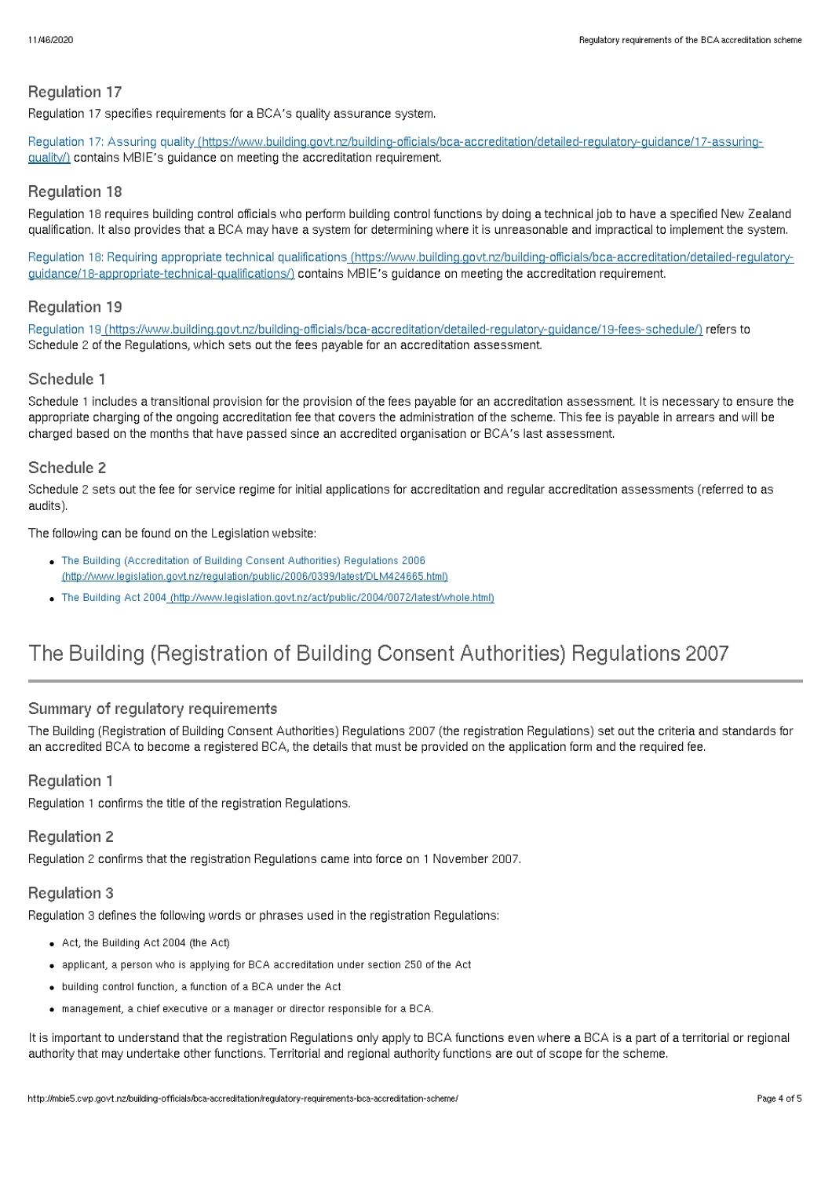# Regulation 17

Regulation 17 specifies requirements for a BCA's quality assurance system.

Regulation 17: Assuring quality [\(https://www.building.govt.nz/building-officials/bca-accreditation/detailed-regulatory-guidance/17-assuring](http://mbie5.cwp.govt.nz/building-officials/bca-accreditation/detailed-regulatory-guidance/17-assuring-quality/)guality/) contains MBIE's guidance on meeting the accreditation requirement.

#### Regulation 18

Regulation 18 requires building control officials who perform building control functions by doing a technical job to have a specified New Zealand qualification. It also provides that a BCA may have a system for determining where it is unreasonable and impractical to implement the system.

Regulation 18: Requiring appropriate technical qualifications [\(https://www.building.govt.nz/building-officials/bca-accreditation/detailed-regulatory](http://mbie5.cwp.govt.nz/building-officials/bca-accreditation/detailed-regulatory-guidance/18-appropriate-technical-qualifications/)guidance/18-appropriate-technical-qualifications/) contains MBIE's guidance on meeting the accreditation requirement.

#### Regulation 19

Regulation 19 [\(https://www.building.govt.nz/building-officials/bca-accreditation/detailed-regulatory-guidance/19-fees-schedule/\)](http://mbie5.cwp.govt.nz/building-officials/bca-accreditation/detailed-regulatory-guidance/19-fees-schedule/) refers to Schedule 2 of the Regulations, which sets out the fees payable for an accreditation assessment.

#### Schedule 1

Schedule 1 includes a transitional provision for the provision of the fees payable for an accreditation assessment. It is necessary to ensure the appropriate charging of the ongoing accreditation fee that covers the administration of the scheme. This fee is payable in arrears and will be charged based on the months that have passed since an accredited organisation or BCA's last assessment.

#### Schedule 2

Schedule 2 sets out the fee for service regime for initial applications for accreditation and regular accreditation assessments (referred to as audits).

The following can be found on the Legislation website:

- The Building (Accreditation of Building Consent Authorities) Regulations 2006 [\(http://www.legislation.govt.nz/regulation/public/2006/0399/latest/DLM424665.html\)](http://www.legislation.govt.nz/regulation/public/2006/0399/latest/DLM424665.html)
- The Building Act 2004 [\(http://www.legislation.govt.nz/act/public/2004/0072/latest/whole.html\)](http://www.legislation.govt.nz/act/public/2004/0072/latest/whole.html)

# The Building (Registration of Building Consent Authorities) Regulations 2007

## Summary of regulatory requirements

The Building (Registration of Building Consent Authorities) Regulations 2007 (the registration Regulations) set out the criteria and standards for an accredited BCA to become a registered BCA, the details that must be provided on the application form and the required fee.

#### Regulation 1

Regulation 1 confirms the title of the registration Regulations.

#### Regulation 2

Regulation 2 confirms that the registration Regulations came into force on 1 November 2007.

## Regulation 3

Regulation 3 defines the following words or phrases used in the registration Regulations:

- Act, the Building Act 2004 (the Act)
- applicant, a person who is applying for BCA accreditation under section 250 of the Act
- building control function, a function of a BCA under the Act
- management, a chief executive or a manager or director responsible for a BCA.

It is important to understand that the registration Regulations only apply to BCA functions even where a BCA is a part of a territorial or regional authority that may undertake other functions. Territorial and regional authority functions are out of scope for the scheme.